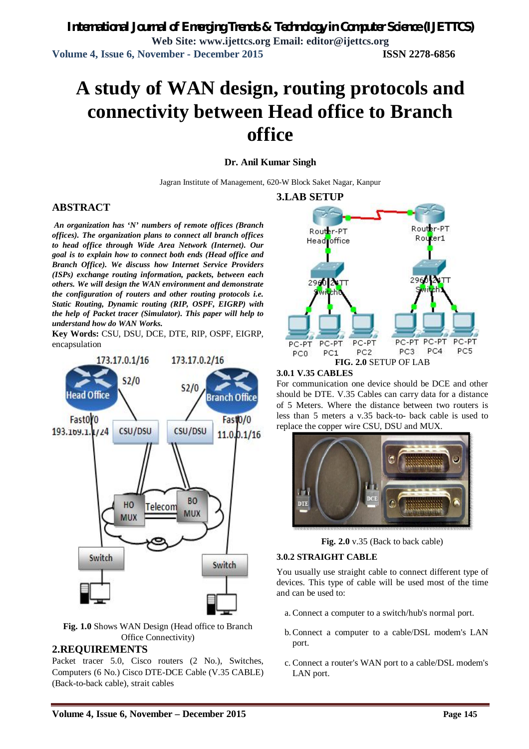# **A study of WAN design, routing protocols and connectivity between Head office to Branch office**

#### **Dr. Anil Kumar Singh**

Jagran Institute of Management, 620-W Block Saket Nagar, Kanpur

#### **ABSTRACT**

*An organization has 'N' numbers of remote offices (Branch offices). The organization plans to connect all branch offices to head office through Wide Area Network (Internet). Our goal is to explain how to connect both ends (Head office and Branch Office). We discuss how Internet Service Providers (ISPs) exchange routing information, packets, between each others. We will design the WAN environment and demonstrate the configuration of routers and other routing protocols i.e. Static Routing, Dynamic routing (RIP, OSPF, EIGRP) with the help of Packet tracer (Simulator). This paper will help to understand how do WAN Works.* 

**Key Words:** CSU, DSU, DCE, DTE, RIP, OSPF, EIGRP, encapsulation



**Fig. 1.0** Shows WAN Design (Head office to Branch Office Connectivity)

#### **2.REQUIREMENTS**

Packet tracer 5.0, Cisco routers (2 No.), Switches, Computers (6 No.) Cisco DTE-DCE Cable (V.35 CABLE) (Back-to-back cable), strait cables



#### **3.0.1 V.35 CABLES**

For communication one device should be DCE and other should be DTE. V.35 Cables can carry data for a distance of 5 Meters. Where the distance between two routers is less than 5 meters a v.35 back-to- back cable is used to replace the copper wire CSU, DSU and MUX.



**Fig. 2.0** v.35 (Back to back cable)

#### **3.0.2 STRAIGHT CABLE**

You usually use straight cable to connect different type of devices. This type of cable will be used most of the time and can be used to:

- a. Connect a computer to a switch/hub's normal port.
- b.Connect a computer to a cable/DSL modem's LAN port.
- c. Connect a router's WAN port to a cable/DSL modem's LAN port.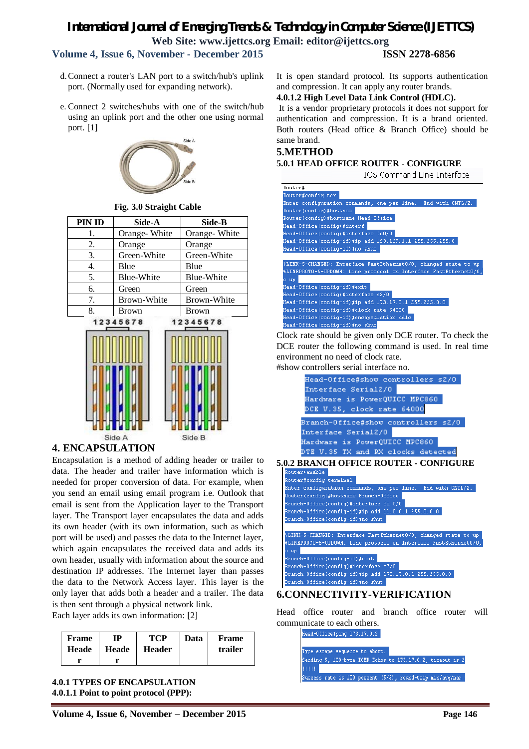## *International Journal of Emerging Trends & Technology in Computer Science (IJETTCS)* **Web Site: www.ijettcs.org Email: editor@ijettcs.org Volume 4, Issue 6, November - December 2015 ISSN 2278-6856**

- d.Connect a router's LAN port to a switch/hub's uplink port. (Normally used for expanding network).
- e. Connect 2 switches/hubs with one of the switch/hub using an uplink port and the other one using normal port. [1]



**Fig. 3.0 Straight Cable**

| PIN ID | Side-A       | Side-B            |
|--------|--------------|-------------------|
| 1.     | Orange-White | Orange-White      |
| 2.     | Orange       | Orange            |
| 3.     | Green-White  | Green-White       |
| 4.     | Blue         | Blue              |
| 5.     | Blue-White   | <b>Blue-White</b> |
| 6.     | Green        | Green             |
| 7.     | Brown-White  | Brown-White       |
| 8.     | Brown        | Brown             |
|        | 12345678     | 12345678          |



## **4. ENCAPSULATION**

Encapsulation is a method of adding header or trailer to data. The header and trailer have information which is needed for proper conversion of data. For example, when you send an email using email program i.e. Outlook that email is sent from the Application layer to the Transport layer. The Transport layer encapsulates the data and adds its own header (with its own information, such as which port will be used) and passes the data to the Internet layer, which again encapsulates the received data and adds its own header, usually with information about the source and destination IP addresses. The Internet layer than passes the data to the Network Access layer. This layer is the only layer that adds both a header and a trailer. The data is then sent through a physical network link.

Each layer adds its own information: [2]

| Frame | ГР    | <b>TCP</b>    | Data | Frame   |
|-------|-------|---------------|------|---------|
| Heade | Heade | <b>Header</b> |      | trailer |
|       |       |               |      |         |

**4.0.1 TYPES OF ENCAPSULATION 4.0.1.1 Point to point protocol (PPP):** 

It is open standard protocol. Its supports authentication and compression. It can apply any router brands.

#### **4.0.1.2 High Level Data Link Control (HDLC).**

It is a vendor proprietary protocols it does not support for authentication and compression. It is a brand oriented. Both routers (Head office & Branch Office) should be same brand.

#### **5.METHOD**

#### **5.0.1 HEAD OFFICE ROUTER - CONFIGURE**

IOS Command Line Interface

| Router#                                                          |
|------------------------------------------------------------------|
| Router#config ter                                                |
| Enter configuration commands, one per line. End with CNTL/2.     |
| Router (config) #hostnam                                         |
| Router (config) #hostname Head-Office                            |
| Head-Office(config)#interf                                       |
| Head-Office(config)#interface_fa0/0_                             |
| Head-Office(config-if)#ip add 193.169.1.1 255.255.255.0          |
| Head-Office(config-if)#no shut                                   |
|                                                                  |
| %LINK-5-CHANGED: Interface FastEthernet0/0, changed state to up  |
| \$LINEPROTO-5-UPDOWN: Line protocol on Interface FastEthernet0/0 |
| o up                                                             |
| Head-Office(config-if)#exit                                      |
| Head-Office(config)#interface s2/0                               |
| Head-Office(config-if)#ip add 173.17.0.1 255.255.0.0             |
| Head-Office(config-if)#clock rate 64000                          |
| Head-Office(config-if)#encapsulation hdlc                        |
| Head-Office(config-if)#no shut                                   |
|                                                                  |

Clock rate should be given only DCE router. To check the DCE router the following command is used. In real time environment no need of clock rate.

#show controllers serial interface no.



Head office router and branch office router will communicate to each others.

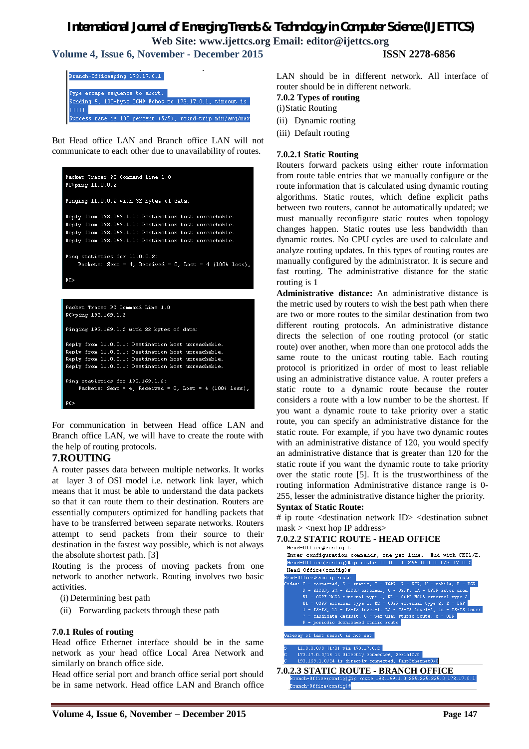**Volume 4, Issue 6, November - December 2015 ISSN 2278-6856**

| Branch-Office#ping 173.17.0.1                                                              |
|--------------------------------------------------------------------------------------------|
| Type escape sequence to abort.<br>Sending 5, 100-byte ICMP Echos to 173.17.0.1, timeout is |
| <b>TELLE</b>                                                                               |
| Success rate is 100 percent $(5/5)$ , round-trip min/avg/max                               |

But Head office LAN and Branch office LAN will not communicate to each other due to unavailability of routes.

```
Packet Tracer PC Command Line 1.0
PC>ping 11.0.0.2
Pinging 11.0.0.2 with 32 bytes of data:
Reply from 193.169.1.1: Destination host unreachable.
Reply from 193.169.1.1: Destination host unreachable.
Reply from 193.169.1.1: Destination host unreachable.
Reply from 193.169.1.1: Destination host unreachable.
Ping statistics for 11.0.0.2:
    Packets: Sent = 4, Received = 0, Lost = 4 (100% loss),
pr.>
Packet Tracer PC Command Line 1.0
PC>ping 193.169.1.2
Pinging 193.169.1.2 with 32 bytes of data:
Reply from 11.0.0.1: Destination host unreachable.
Reply from 11.0.0.1: Destination host unreachable.
Reply from 11.0.0.1: Destination host unreachable.
Reply from 11.0.0.1: Destination host unreachable.
Ping statistics for 193.169.1.2:
```
Packets: Sent =  $4$ , Received = 0, Lost =  $4$  (100% loss),  $PC<sub>2</sub>$ 

For communication in between Head office LAN and Branch office LAN, we will have to create the route with the help of routing protocols.

## **7.ROUTING**

A router passes data between multiple networks. It works at layer 3 of OSI model i.e. network link layer, which means that it must be able to understand the data packets so that it can route them to their destination. Routers are essentially computers optimized for handling packets that have to be transferred between separate networks. Routers attempt to send packets from their source to their destination in the fastest way possible, which is not always the absolute shortest path. [3]

Routing is the process of moving packets from one network to another network. Routing involves two basic activities.

(i) Determining best path

(ii) Forwarding packets through these path

#### **7.0.1 Rules of routing**

Head office Ethernet interface should be in the same network as your head office Local Area Network and similarly on branch office side.

Head office serial port and branch office serial port should be in same network. Head office LAN and Branch office

- **7.0.2 Types of routing**
- (i)Static Routing
- (ii) Dynamic routing
- (iii) Default routing

### **7.0.2.1 Static Routing**

Routers forward packets using either route information from route table entries that we manually configure or the route information that is calculated using dynamic routing algorithms. Static routes, which define explicit paths between two routers, cannot be automatically updated; we must manually reconfigure static routes when topology changes happen. Static routes use less bandwidth than dynamic routes. No CPU cycles are used to calculate and analyze routing updates. In this types of routing routes are manually configured by the administrator. It is secure and fast routing. The administrative distance for the static routing is 1

**Administrative distance:** An administrative distance is the metric used by routers to wish the best path when there are two or more routes to the similar destination from two different routing protocols. An administrative distance directs the selection of one routing protocol (or static route) over another, when more than one protocol adds the same route to the unicast routing table. Each routing protocol is prioritized in order of most to least reliable using an administrative distance value. A router prefers a static route to a dynamic route because the router considers a route with a low number to be the shortest. If you want a dynamic route to take priority over a static route, you can specify an administrative distance for the static route. For example, if you have two dynamic routes with an administrative distance of 120, you would specify an administrative distance that is greater than 120 for the static route if you want the dynamic route to take priority over the static route [5]. It is the trustworthiness of the routing information Administrative distance range is 0- 255, lesser the administrative distance higher the priority.

#### **Syntax of Static Route:**

# ip route <destination network ID> <destination subnet  $mask$  > <next hop IP address>

|  | <b>7.0.2.2 STATIC ROUTE - HEAD OFFICE</b>                    |  |  |  |  |
|--|--------------------------------------------------------------|--|--|--|--|
|  | Head-Office#config t                                         |  |  |  |  |
|  | Enter configuration commands, one per line. End with CNTL/2. |  |  |  |  |
|  | Head-Office(config)#ip_route_11.0.0.0_255.0.0.0_173.17.0.2   |  |  |  |  |
|  | $Head-Office(config)$ #                                      |  |  |  |  |
|  | Head-Office#show in route                                    |  |  |  |  |

|  | es: C - connected, S - static, I - IGRP, R - RIP, M - mobile, B - BGP                                                                                                                                                               |  |  |  |  |  |
|--|-------------------------------------------------------------------------------------------------------------------------------------------------------------------------------------------------------------------------------------|--|--|--|--|--|
|  | $\mathcal{D}_1$ , are an area and the contract of the contract of the contract of the contract of the contract of the contract of the contract of the contract of the contract of the contract of the contract of the contract of t |  |  |  |  |  |

- NSSA external OSPF NSSA extern
- E1 OSPF external type 1, E2 OSPF external type 2, E i IS-IS, L1 IS-IS level-1, L2 IS-IS level-2, ia I  $RCD$
- .<br>candidate default II per-user etatio route
- 

Gateway of last resort is not set

0/16 is directly connected, 169.1.0/24 is directly connected, FastEthe

**7.0.2.3 STATIC ROUTE - BRANCH OFFICE**ranch-Office(config)#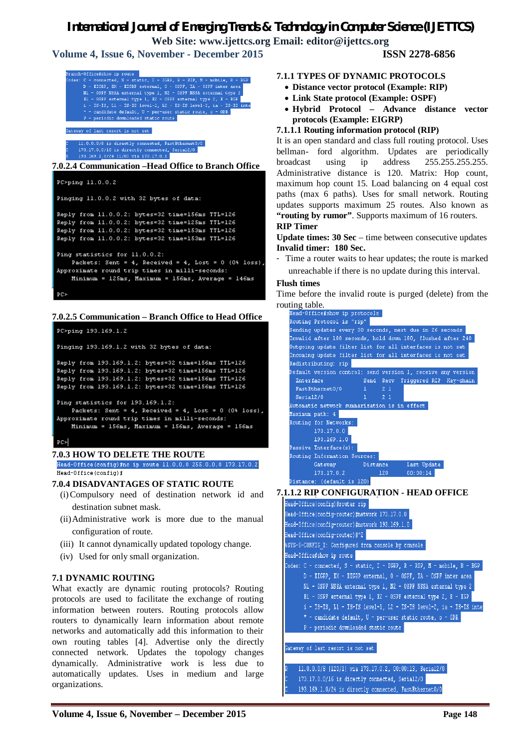## *International Journal of Emerging Trends & Technology in Computer Science (IJETTCS)*

**Web Site: www.ijettcs.org Email: editor@ijettcs.org** 

**Volume 4, Issue 6, November - December 2015 ISSN 2278-6856**

| Branch-Office#show ip route                                              |
|--------------------------------------------------------------------------|
| Codes: C - connected, S - static, I - IGRP, R - RIP, M - mobile, B - BGP |
| D - EIGRP, EX - EIGRP external, 0 - OSPF, IA - OSPF inter area           |
| N1 - OSPF NSSA external type 1, N2 - OSPF NSSA external type 2           |
| El - OSPF external type 1, E2 - OSPF external type 2, E - EGP            |
| i - IS-IS, Ll - IS-IS level-1, L2 - IS-IS level-2, ia - IS-IS inte       |
| * - candidate default, U - per-user static route, o - ODR                |
| P - periodic downloaded static route                                     |
|                                                                          |
| Gateway of last resort is not set                                        |
|                                                                          |
| 11.0.0.0/8 is directly connected, FastEthernet0/0                        |

 $Serial2/0$ 193.169.1.0/24 [1/0] via 173.17.0.1

**7.0.2.4 Communication –Head Office to Branch Office**

```
PC>ping 11.0.0.2
Pinging 11.0.0.2 with 32 bytes of data:
Reply from 11.0.0.2: bytes=32 time=156ms TTL=126
Reply from 11.0.0.2: bytes=32 time=125ms TTL=126
Reply from 11.0.0.2: bytes=32 time=153ms TTL=126
Reply from 11.0.0.2: bytes=32 time=153ms TTL=126
Ping statistics for 11.0.0.2:
   Packets: Sent = 4, Received = 4, Lost = 0 (0% loss),
Approximate round trip times in milli-seconds:
   Minimum = 125ms, Maximum = 156ms, Average = 146ms
```
 $PC<sub>2</sub>$ 

#### **7.0.2.5 Communication – Branch Office to Head Office**

```
PC>ping 193.169.1.2
Pinging 193.169.1.2 with 32 bytes of data:
Reply from 193.169.1.2: bytes=32 time=156ms TTL=126
Reply from 193.169.1.2: bytes=32 time=156ms TTL=126
Reply from 193.169.1.2: bytes=32 time=156ms TTL=126
Reply from 193.169.1.2: bytes=32 time=156ms TTL=126
Ping statistics for 193.169.1.2:
   Packets: Sent = 4, Received = 4, Lost = 0 (0% loss),
Approximate round trip times in milli-seconds:
   Minimum = 156ms, Maximum = 156ms, Average = 156ms
pc
```
#### **7.0.3 HOW TO DELETE THE ROUTE**

Head-Office(config)#no ip route 11.0.0.0 255.0.0.0 173.17.0.2 Head-Office(config)#

#### **7.0.4 DISADVANTAGES OF STATIC ROUTE**

- (i)Compulsory need of destination network id and destination subnet mask.
- (ii)Administrative work is more due to the manual configuration of route.
- (iii) It cannot dynamically updated topology change.
- (iv) Used for only small organization.

#### **7.1 DYNAMIC ROUTING**

What exactly are dynamic routing protocols? Routing protocols are used to facilitate the exchange of routing information between routers. Routing protocols allow routers to dynamically learn information about remote networks and automatically add this information to their own routing tables [4]. Advertise only the directly connected network. Updates the topology changes dynamically. Administrative work is less due to automatically updates. Uses in medium and large organizations.

#### **7.1.1 TYPES OF DYNAMIC PROTOCOLS**

- **Distance vector protocol (Example: RIP)**
- **Link State protocol (Example: OSPF)**
- **Hybrid Protocol – Advance distance vector protocols (Example: EIGRP)**

#### **7.1.1.1 Routing information protocol (RIP)**

It is an open standard and class full routing protocol. Uses bellman- ford algorithm. Updates are periodically broadcast using ip address 255.255.255.255. Administrative distance is 120. Matrix: Hop count, maximum hop count 15. Load balancing on 4 equal cost paths (max 6 paths). Uses for small network. Routing updates supports maximum 25 routes. Also known as "routing by rumor". Supports maximum of 16 routers. **RIP Timer**

**Update times: 30 Sec** – time between consecutive updates **Invalid timer: 180 Sec.**

- Time a router waits to hear updates; the route is marked unreachable if there is no update during this interval.

#### **Flush times**

Time before the invalid route is purged (delete) from the



**7.1.1.2 RIP CONFIGURATION - HEAD OFFICE**

| Head-Office(config)#router rip                                                                                                                                                                                                       |
|--------------------------------------------------------------------------------------------------------------------------------------------------------------------------------------------------------------------------------------|
| Head-Office(config-router)#network 173.17.0.0                                                                                                                                                                                        |
| Head-Office(config-router)#network 193.169.1.0                                                                                                                                                                                       |
| Head-Office(config-router)#^Z                                                                                                                                                                                                        |
| \$SYS-5-CONFIG I: Configured from console by console                                                                                                                                                                                 |
| Head-Office#show ip route                                                                                                                                                                                                            |
| Codes: C - connected, S - static, I - IGRP, R - RIP, M - mobile, B - BGP                                                                                                                                                             |
| D - EIGRP, EX - EIGRP external, 0 - OSPF, IA - OSPF inter area                                                                                                                                                                       |
| N1 - OSPF NSSA external type 1, N2 - OSPF NSSA external type 2                                                                                                                                                                       |
| El - OSPF external type 1, E2 - OSPF external type 2, E - EGP                                                                                                                                                                        |
| i - IS-IS, L1 - IS-IS level-1, L2 - IS-IS level-2, ia - IS-IS inter                                                                                                                                                                  |
| * - candidate default, U - per-user static route, o - ODR                                                                                                                                                                            |
| P - periodic downloaded static route                                                                                                                                                                                                 |
|                                                                                                                                                                                                                                      |
| Gateway of last resort is not set                                                                                                                                                                                                    |
|                                                                                                                                                                                                                                      |
| R<br>11.0.0.0/8 [120/1] via 173.17.0.2, 00:00:13, Serial2/0                                                                                                                                                                          |
| <b>CHARLES ARRAIGNMENT CONTINUES IN THE RESIDENT OF A STATE OF A STATE OF A STATE OF A STATE OF A STATE OF A STATE OF A STATE OF A STATE OF A STATE OF A STATE OF A STATE OF A STATE OF A STATE OF A STATE OF A STATE OF A STATE</b> |

73.17.0.0/16 is directly connected, Serial2/0 193.169.1.0/24 is directly connected, FastEthernet0/0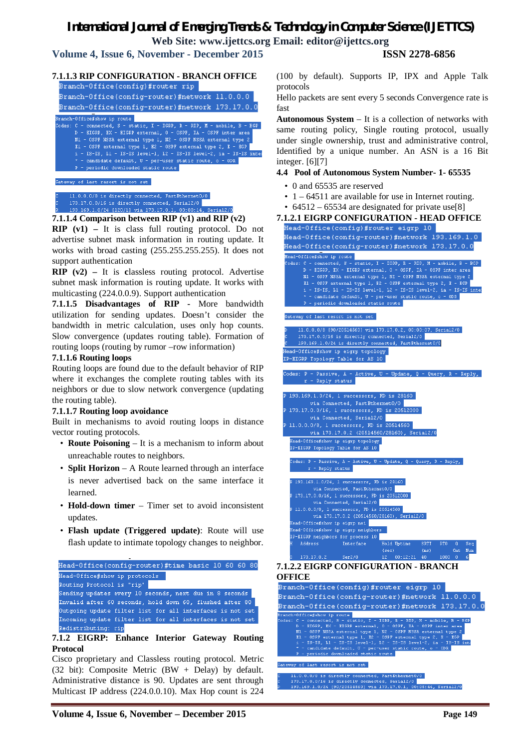**Volume 4, Issue 6, November - December 2015 ISSN 2278-6856**

#### **7.1.1.3 RIP CONFIGURATION - BRANCH OFFICE** Branch-Office(config)#router\_rip\_ Branch-Office(config-router)#network 11.0.0.0 Branch-Office(config-router)#network 173.17.0.0 。<br>Branch-Office#show ip route odes: C - connected, S - static, I IGRP R mobile. B D - EIGRP, EX - EIGRP external, 0 - 0SPF, IA - 0SPF inter area<br>N1 - 0SPF NSSA external type 1, N2 - 0SPF NSSA external type 2 E1 - OSPF external type 1, E2 - OSPF external type 2, E - EGP i - IS-IS, L1 - IS-IS 1evel-1, L2 - IS-IS 1evel-2, ia - IS-IS : inte \* - candidate default, U - per-user static route, o -<br>P - periodic downloaded static route  $-$  ODR  $-$ Gateway of last resort is not set 1.0.0.0/8 is directly connected, FastEthernet0/0 173.17.0.0/16 is directly connected, Serial2/0

#### 193.169.1.0/24 [120/1] via 173.17.0.1, 00:00:14, Serial2/0

**7.1.1.4 Comparison between RIP (v1) and RIP (v2) RIP (v1) –** It is class full routing protocol. Do not advertise subnet mask information in routing update. It works with broad casting (255.255.255.255). It does not support authentication

**RIP (v2) –** It is **c**lassless routing protocol. Advertise subnet mask information is routing update. It works with multicasting (224.0.0.9). Support authentication

**7.1.1.5 Disadvantages of RIP -** More bandwidth utilization for sending updates. Doesn't consider the bandwidth in metric calculation, uses only hop counts. Slow convergence (updates routing table). Formation of routing loops (routing by rumor –row information)

#### **7.1.1.6 Routing loops**

Routing loops are found due to the default behavior of RIP where it exchanges the complete routing tables with its neighbors or due to slow network convergence (updating the routing table).

#### **7.1.1.7 Routing loop avoidance**

Built in mechanisms to avoid routing loops in distance vector routing protocols.

- **Route Poisoning**  It is a mechanism to inform about unreachable routes to neighbors.
- **Split Horizon**  A Route learned through an interface is never advertised back on the same interface it learned.
- **Hold-down timer** Timer set to avoid inconsistent updates.
- **Flash update (Triggered update)**: Route will use flash update to intimate topology changes to neighbor.

| Head-Office(config-router)#time basic 10 60 60 80         |
|-----------------------------------------------------------|
| Head-Office#show ip protocols                             |
| Routing Protocol is "rip"                                 |
| Sending updates every 10 seconds, next due in 8 seconds   |
| Invalid after 60 seconds, hold down 60, flushed after 80  |
| Outgoing update filter list for all interfaces is not set |
| Incoming update filter list for all interfaces is not set |
| Redistributing; rip                                       |
|                                                           |

#### **7.1.2 EIGRP: Enhance Interior Gateway Routing Protocol**

Cisco proprietary and Classless routing protocol. Metric (32 bit): Composite Metric (BW + Delay) by default. Administrative distance is 90. Updates are sent through Multicast IP address (224.0.0.10). Max Hop count is 224

(100 by default). Supports IP, IPX and Apple Talk protocols

Hello packets are sent every 5 seconds Convergence rate is fast

**Autonomous System** – It is a collection of networks with same routing policy, Single routing protocol, usually under single ownership, trust and administrative control, Identified by a unique number. An ASN is a 16 Bit integer. [6][7]

#### **4.4 Pool of Autonomous System Number- 1- 65535**

- 0 and 65535 are reserved
- 1 64511 are available for use in Internet routing.
- 64512 65534 are designated for private use[8]

## **7.1.2.1 EIGRP CONFIGURATION - HEAD OFFICE**





av of last resort is not set .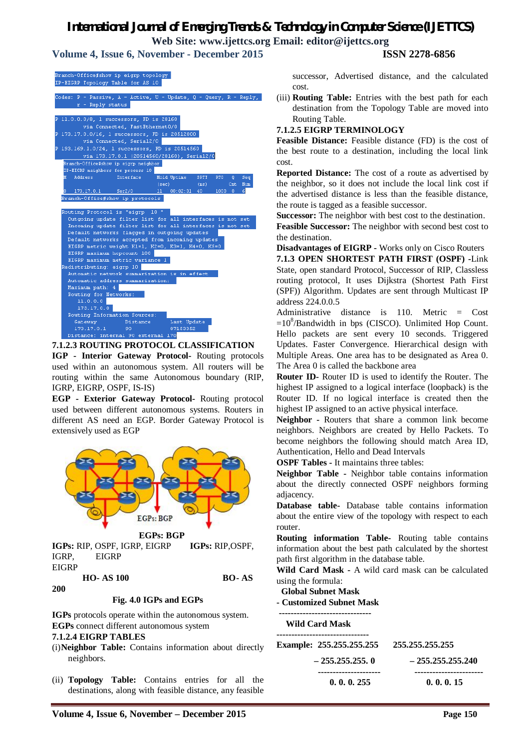**Volume 4, Issue 6, November - December 2015 ISSN 2278-6856**

| ranch-Office#show ip eigrp topology |  |  |  |
|-------------------------------------|--|--|--|
| P-EIGRP Topology Table for AS 10    |  |  |  |





**IGP - Interior Gateway Protocol-** Routing protocols used within an autonomous system. All routers will be routing within the same Autonomous boundary (RIP, IGRP, EIGRP, OSPF, IS-IS)

**EGP - Exterior Gateway Protocol-** Routing protocol used between different autonomous systems. Routers in different AS need an EGP. Border Gateway Protocol is extensively used as EGP



**IGPs:** RIP, OSPF, IGRP, EIGRP **IGPs:** RIP,OSPF, IGRP,EIGRP **EIGRP** 

 **HO- AS 100 BO- AS** 

**200**

#### **Fig. 4.0 IGPs and EGPs**

**IGPs** protocols operate within the autonomous system. **EGPs** connect different autonomous system **7.1.2.4 EIGRP TABLES**

- (i)**Neighbor Table:** Contains information about directly neighbors.
- (ii) **Topology Table:** Contains entries for all the destinations, along with feasible distance, any feasible

successor, Advertised distance, and the calculated cost.

(iii) **Routing Table:** Entries with the best path for each destination from the Topology Table are moved into Routing Table.

#### **7.1.2.5 EIGRP TERMINOLOGY**

**Feasible Distance:** Feasible distance (FD) is the cost of the best route to a destination, including the local link cost.

**Reported Distance:** The cost of a route as advertised by the neighbor, so it does not include the local link cost if the advertised distance is less than the feasible distance, the route is tagged as a feasible successor.

**Successor:** The neighbor with best cost to the destination. **Feasible Successor:** The neighbor with second best cost to the destination.

**Disadvantages of EIGRP -** Works only on Cisco Routers **7.1.3 OPEN SHORTEST PATH FIRST (OSPF) -**Link State, open standard Protocol, Successor of RIP, Classless routing protocol, It uses Dijkstra (Shortest Path First (SPF)) Algorithm. Updates are sent through Multicast IP address 224.0.0.5

Administrative distance is 110. Metric = Cost  $=10<sup>8</sup>/B$ andwidth in bps (CISCO). Unlimited Hop Count. Hello packets are sent every 10 seconds. Triggered Updates. Faster Convergence. Hierarchical design with Multiple Areas. One area has to be designated as Area 0. The Area 0 is called the backbone area

**Router ID-** Router ID is used to identify the Router. The highest IP assigned to a logical interface (loopback) is the Router ID. If no logical interface is created then the highest IP assigned to an active physical interface.

**Neighbor -** Routers that share a common link become neighbors. Neighbors are created by Hello Packets. To become neighbors the following should match Area ID, Authentication, Hello and Dead Intervals

**OSPF Tables** - It maintains three tables:

**Neighbor Table -** Neighbor table contains information about the directly connected OSPF neighbors forming adjacency.

**Database table-** Database table contains information about the entire view of the topology with respect to each router.

**Routing information Table-** Routing table contains information about the best path calculated by the shortest path first algorithm in the database table.

**Wild Card Mask -** A wild card mask can be calculated using the formula:

**Global Subnet Mask**

#### **- Customized Subnet Mask**

**------------------------------- Wild Card Mask ------------------------------- Example: 255.255.255.255 255.255.255.255 – 255.255.255. 0 – 255.255.255.240 --------------------- ----------------------- 0. 0. 0. 255 0. 0. 0. 15**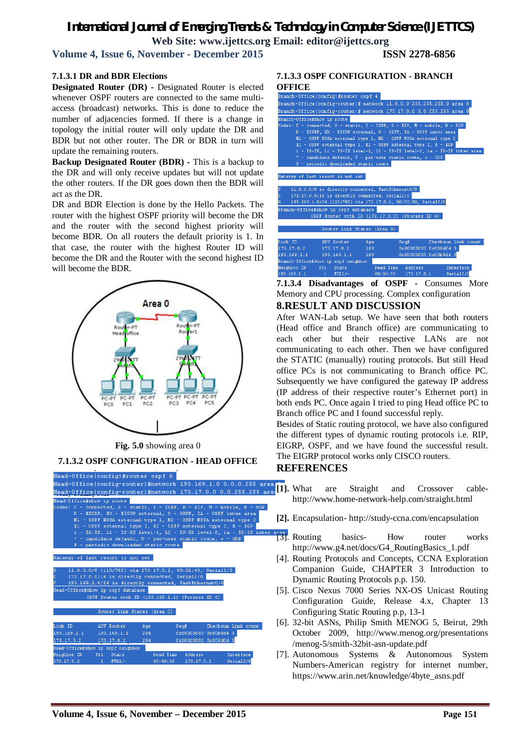**Volume 4, Issue 6, November - December 2015 ISSN 2278-6856**

#### **7.1.3.1 DR and BDR Elections**

**Designated Router (DR) -** Designated Router is elected whenever OSPF routers are connected to the same multiaccess (broadcast) networks. This is done to reduce the number of adjacencies formed. If there is a change in topology the initial router will only update the DR and BDR but not other router. The DR or BDR in turn will update the remaining routers.

**Backup Designated Router (BDR) -** This is a backup to the DR and will only receive updates but will not update the other routers. If the DR goes down then the BDR will act as the DR.

DR and BDR Election is done by the Hello Packets. The router with the highest OSPF priority will become the DR and the router with the second highest priority will become BDR. On all routers the default priority is 1. In that case, the router with the highest Router ID will become the DR and the Router with the second highest ID will become the BDR.



**Fig. 5.0** showing area 0

**7.1.3.2 OSPF CONFIGURATION - HEAD OFFICE**

| Head-Office(config)#router ospf 6<br>Head-Office(config-router)#network 193.169.1.0 0.0.0.255 ares<br>Head-Office(config-router)#network 173.17.0.0 0.0.255.255 are<br>Head-Office#show ip route<br>Codes: C - connected, S - static, I - IGRP, R - RIP, M - mobile, B - BGP<br>D - EIGRP, EX - EIGRP external, 0 - OSPF, IA - OSPF inter area<br>N1 - OSPF NSSA external type 1, N2 - OSPF NSSA external type 2<br>El - OSPF external type 1, E2 - OSPF external type 2, E - EGP<br>$i$ - IS-IS, L1 - IS-IS level-1, L2 - IS-IS level-2, ia - IS-IS inter<br>* - candidate default, U - per-user static route, o - ODR<br>P - periodic downloaded static route<br>Gateway of last resort is not set<br>11.0.0.0/8 [110/782] via 173.17.0.2, 00:01:43, Serial2/0<br>n<br>c<br>173.17.0.0/16 is directly connected, Serial2/0<br>193.169.1.0/24 is directly connected, FastEthernet0/0<br>c<br>Head-Office#show ip ospf database<br>OSPF Router with ID (193.169.1.1) (Process ID 6)<br>Router Link States (Area 0) |
|--------------------------------------------------------------------------------------------------------------------------------------------------------------------------------------------------------------------------------------------------------------------------------------------------------------------------------------------------------------------------------------------------------------------------------------------------------------------------------------------------------------------------------------------------------------------------------------------------------------------------------------------------------------------------------------------------------------------------------------------------------------------------------------------------------------------------------------------------------------------------------------------------------------------------------------------------------------------------------------------------------------------|
|                                                                                                                                                                                                                                                                                                                                                                                                                                                                                                                                                                                                                                                                                                                                                                                                                                                                                                                                                                                                                    |
|                                                                                                                                                                                                                                                                                                                                                                                                                                                                                                                                                                                                                                                                                                                                                                                                                                                                                                                                                                                                                    |
|                                                                                                                                                                                                                                                                                                                                                                                                                                                                                                                                                                                                                                                                                                                                                                                                                                                                                                                                                                                                                    |
|                                                                                                                                                                                                                                                                                                                                                                                                                                                                                                                                                                                                                                                                                                                                                                                                                                                                                                                                                                                                                    |
|                                                                                                                                                                                                                                                                                                                                                                                                                                                                                                                                                                                                                                                                                                                                                                                                                                                                                                                                                                                                                    |
|                                                                                                                                                                                                                                                                                                                                                                                                                                                                                                                                                                                                                                                                                                                                                                                                                                                                                                                                                                                                                    |
|                                                                                                                                                                                                                                                                                                                                                                                                                                                                                                                                                                                                                                                                                                                                                                                                                                                                                                                                                                                                                    |
|                                                                                                                                                                                                                                                                                                                                                                                                                                                                                                                                                                                                                                                                                                                                                                                                                                                                                                                                                                                                                    |
|                                                                                                                                                                                                                                                                                                                                                                                                                                                                                                                                                                                                                                                                                                                                                                                                                                                                                                                                                                                                                    |
|                                                                                                                                                                                                                                                                                                                                                                                                                                                                                                                                                                                                                                                                                                                                                                                                                                                                                                                                                                                                                    |
|                                                                                                                                                                                                                                                                                                                                                                                                                                                                                                                                                                                                                                                                                                                                                                                                                                                                                                                                                                                                                    |
|                                                                                                                                                                                                                                                                                                                                                                                                                                                                                                                                                                                                                                                                                                                                                                                                                                                                                                                                                                                                                    |
|                                                                                                                                                                                                                                                                                                                                                                                                                                                                                                                                                                                                                                                                                                                                                                                                                                                                                                                                                                                                                    |
|                                                                                                                                                                                                                                                                                                                                                                                                                                                                                                                                                                                                                                                                                                                                                                                                                                                                                                                                                                                                                    |
|                                                                                                                                                                                                                                                                                                                                                                                                                                                                                                                                                                                                                                                                                                                                                                                                                                                                                                                                                                                                                    |
|                                                                                                                                                                                                                                                                                                                                                                                                                                                                                                                                                                                                                                                                                                                                                                                                                                                                                                                                                                                                                    |
|                                                                                                                                                                                                                                                                                                                                                                                                                                                                                                                                                                                                                                                                                                                                                                                                                                                                                                                                                                                                                    |
|                                                                                                                                                                                                                                                                                                                                                                                                                                                                                                                                                                                                                                                                                                                                                                                                                                                                                                                                                                                                                    |
|                                                                                                                                                                                                                                                                                                                                                                                                                                                                                                                                                                                                                                                                                                                                                                                                                                                                                                                                                                                                                    |
|                                                                                                                                                                                                                                                                                                                                                                                                                                                                                                                                                                                                                                                                                                                                                                                                                                                                                                                                                                                                                    |
|                                                                                                                                                                                                                                                                                                                                                                                                                                                                                                                                                                                                                                                                                                                                                                                                                                                                                                                                                                                                                    |
| Link ID<br>Checksum Link count<br>ADV Router<br>Sear<br>Age:                                                                                                                                                                                                                                                                                                                                                                                                                                                                                                                                                                                                                                                                                                                                                                                                                                                                                                                                                       |
| 193.169.1.1<br>0x80000003 0x00b8d4 3<br>193.169.1.1<br>$204 -$                                                                                                                                                                                                                                                                                                                                                                                                                                                                                                                                                                                                                                                                                                                                                                                                                                                                                                                                                     |
| 0x80000003 0x008d0d 3<br>173.17.0.2<br>173.17.0.2<br>204                                                                                                                                                                                                                                                                                                                                                                                                                                                                                                                                                                                                                                                                                                                                                                                                                                                                                                                                                           |
| Head-Office#show ip ospf neighbor                                                                                                                                                                                                                                                                                                                                                                                                                                                                                                                                                                                                                                                                                                                                                                                                                                                                                                                                                                                  |
| Neighbor ID -<br>Dead Time<br><b>Interface</b><br>Pri State<br>Address                                                                                                                                                                                                                                                                                                                                                                                                                                                                                                                                                                                                                                                                                                                                                                                                                                                                                                                                             |
| 173.17.0.2<br>00:00:39<br>Serial <sub>2/0</sub><br>$1$ FULL/-<br>173.17.0.2                                                                                                                                                                                                                                                                                                                                                                                                                                                                                                                                                                                                                                                                                                                                                                                                                                                                                                                                        |

# **7.1.3.3 OSPF CONFIGURATION - BRANCH**



**7.1.3.4 Disadvantages of OSPF -** Consumes More Memory and CPU processing. Complex configuration

#### **8.RESULT AND DISCUSSION**

After WAN-Lab setup. We have seen that both routers (Head office and Branch office) are communicating to each other but their respective LANs are not communicating to each other. Then we have configured the STATIC (manually) routing protocols. But still Head office PCs is not communicating to Branch office PC. Subsequently we have configured the gateway IP address (IP address of their respective router's Ethernet port) in both ends PC. Once again I tried to ping Head office PC to Branch office PC and I found successful reply.

Besides of Static routing protocol, we have also configured the different types of dynamic routing protocols i.e. RIP, EIGRP, OSPF, and we have found the successful result. The EIGRP protocol works only CISCO routers.

### **REFERENCES**

- **[1].** What are Straight and Crossover cablehttp://www.home-network-help.com/straight.html
- **[2].** Encapsulation- http://study-ccna.com/encapsulation
- $\frac{area}{|3|}$ . Routing basics- How router works http://www.g4.net/docs/G4\_RoutingBasics\_1.pdf
- [4]. Routing Protocols and Concepts, CCNA Exploration Companion Guide, CHAPTER 3 Introduction to Dynamic Routing Protocols p.p. 150.
- [5]. Cisco Nexus 7000 Series NX-OS Unicast Routing Configuration Guide, Release 4.x, Chapter 13 Configuring Static Routing p.p, 13-1
- [6]. 32-bit ASNs, Philip Smith MENOG 5, Beirut, 29th October 2009, http://www.menog.org/presentations /menog-5/smith-32bit-asn-update.pdf
- [7]. Autonomous Systems & Autonomous System Numbers-American registry for internet number, https://www.arin.net/knowledge/4byte\_asns.pdf